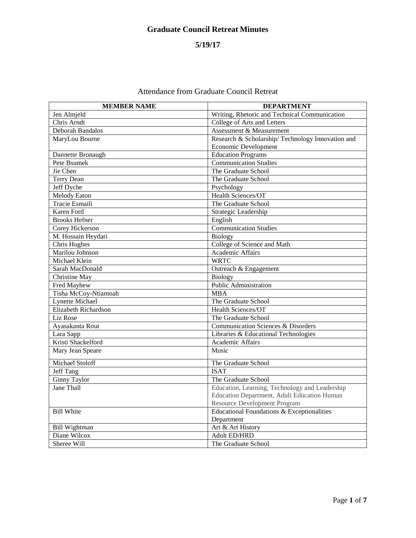# **5/19/17**

| <b>MEMBER NAME</b>     | <b>DEPARTMENT</b>                                |
|------------------------|--------------------------------------------------|
| Jen Almjeld            | Writing, Rhetoric and Technical Communication    |
| Chris Arndt            | College of Arts and Letters                      |
| Deborah Bandalos       | Assessment & Measurement                         |
| MaryLou Bourne         | Research & Scholarship/Technology Innovation and |
|                        | Economic Development                             |
| Dannette Bronaugh      | <b>Education Programs</b>                        |
| Pete Bsumek            | <b>Communication Studies</b>                     |
| Jie Chen               | The Graduate School                              |
| <b>Terry Dean</b>      | The Graduate School                              |
| Jeff Dyche             | Psychology                                       |
| <b>Melody Eaton</b>    | Health Sciences/OT                               |
| Tracie Esmaili         | The Graduate School                              |
| Karen Ford             | Strategic Leadership                             |
| <b>Brooks Hefner</b>   | English                                          |
| Corey Hickerson        | <b>Communication Studies</b>                     |
| M. Hossain Heydari     | Biology                                          |
| Chris Hughes           | College of Science and Math                      |
| Marilou Johnson        | Academic Affairs                                 |
| Michael Klein          | <b>WRTC</b>                                      |
| Sarah MacDonald        | Outreach & Engagement                            |
| Christine May          | Biology                                          |
| Fred Mayhew            | <b>Public Administration</b>                     |
| Tisha McCoy-Ntiamoah   | <b>MBA</b>                                       |
| <b>Lynette Michael</b> | The Graduate School                              |
| Elizabeth Richardson   | Health Sciences/OT                               |
| Liz Rose               | The Graduate School                              |
| Ayasakanta Rout        | Communication Sciences & Disorders               |
| Lara Sapp              | Libraries & Educational Technologies             |
| Kristi Shackelford     | Academic Affairs                                 |
| Mary Jean Speare       | Music                                            |
| Michael Stoloff        | The Graduate School                              |
| Jeff Tang              | <b>ISAT</b>                                      |
| <b>Ginny Taylor</b>    | The Graduate School                              |
| <b>Jane Thall</b>      | Education, Learning, Technology and Leadership   |
|                        | Education Department, Adult Education Human      |
|                        | <b>Resource Development Program</b>              |
| <b>Bill White</b>      | Educational Foundations & Exceptionalities       |
|                        | Department                                       |
| <b>Bill Wightman</b>   | Art & Art History                                |
| Diane Wilcox           | <b>Adult ED/HRD</b>                              |
| Sheree Will            | The Graduate School                              |

# Attendance from Graduate Council Retreat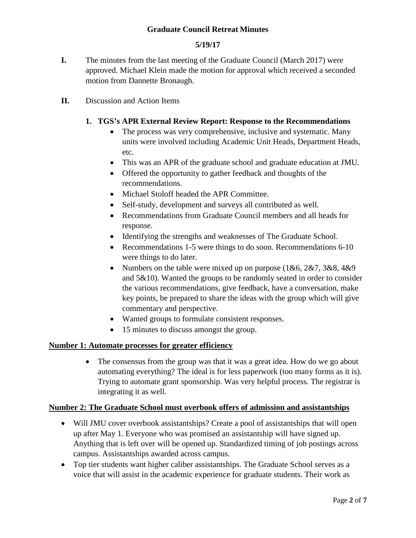### **5/19/17**

**I.** The minutes from the last meeting of the Graduate Council (March 2017) were approved. Michael Klein made the motion for approval which received a seconded motion from Dannette Bronaugh.

### **II.** Discussion and Action Items

### **1. TGS's APR External Review Report: Response to the Recommendations**

- The process was very comprehensive, inclusive and systematic. Many units were involved including Academic Unit Heads, Department Heads, etc.
- This was an APR of the graduate school and graduate education at JMU.
- Offered the opportunity to gather feedback and thoughts of the recommendations.
- Michael Stoloff headed the APR Committee.
- Self-study, development and surveys all contributed as well.
- Recommendations from Graduate Council members and all heads for response.
- Identifying the strengths and weaknesses of The Graduate School.
- Recommendations 1-5 were things to do soon. Recommendations 6-10 were things to do later.
- Numbers on the table were mixed up on purpose  $(1&6, 2&7, 3&8, 4&9)$ and 5&10). Wanted the groups to be randomly seated in order to consider the various recommendations, give feedback, have a conversation, make key points, be prepared to share the ideas with the group which will give commentary and perspective.
- Wanted groups to formulate consistent responses.
- 15 minutes to discuss amongst the group.

#### **Number 1: Automate processes for greater efficiency**

• The consensus from the group was that it was a great idea. How do we go about automating everything? The ideal is for less paperwork (too many forms as it is). Trying to automate grant sponsorship. Was very helpful process. The registrar is integrating it as well.

#### **Number 2: The Graduate School must overbook offers of admission and assistantships**

- Will JMU cover overbook assistantships? Create a pool of assistantships that will open up after May 1. Everyone who was promised an assistantship will have signed up. Anything that is left over will be opened up. Standardized timing of job postings across campus. Assistantships awarded across campus.
- Top tier students want higher caliber assistantships. The Graduate School serves as a voice that will assist in the academic experience for graduate students. Their work as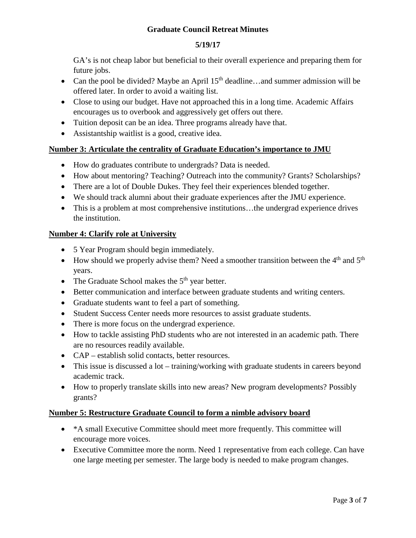# **5/19/17**

GA's is not cheap labor but beneficial to their overall experience and preparing them for future jobs.

- Can the pool be divided? Maybe an April  $15<sup>th</sup>$  deadline...and summer admission will be offered later. In order to avoid a waiting list.
- Close to using our budget. Have not approached this in a long time. Academic Affairs encourages us to overbook and aggressively get offers out there.
- Tuition deposit can be an idea. Three programs already have that.
- Assistantship waitlist is a good, creative idea.

# **Number 3: Articulate the centrality of Graduate Education's importance to JMU**

- How do graduates contribute to undergrads? Data is needed.
- How about mentoring? Teaching? Outreach into the community? Grants? Scholarships?
- There are a lot of Double Dukes. They feel their experiences blended together.
- We should track alumni about their graduate experiences after the JMU experience.
- This is a problem at most comprehensive institutions...the undergrad experience drives the institution.

# **Number 4: Clarify role at University**

- 5 Year Program should begin immediately.
- How should we properly advise them? Need a smoother transition between the  $4<sup>th</sup>$  and  $5<sup>th</sup>$ years.
- The Graduate School makes the  $5<sup>th</sup>$  year better.
- Better communication and interface between graduate students and writing centers.
- Graduate students want to feel a part of something.
- Student Success Center needs more resources to assist graduate students.
- There is more focus on the undergrad experience.
- How to tackle assisting PhD students who are not interested in an academic path. There are no resources readily available.
- CAP establish solid contacts, better resources.
- This issue is discussed a lot training/working with graduate students in careers beyond academic track.
- How to properly translate skills into new areas? New program developments? Possibly grants?

# **Number 5: Restructure Graduate Council to form a nimble advisory board**

- \* A small Executive Committee should meet more frequently. This committee will encourage more voices.
- Executive Committee more the norm. Need 1 representative from each college. Can have one large meeting per semester. The large body is needed to make program changes.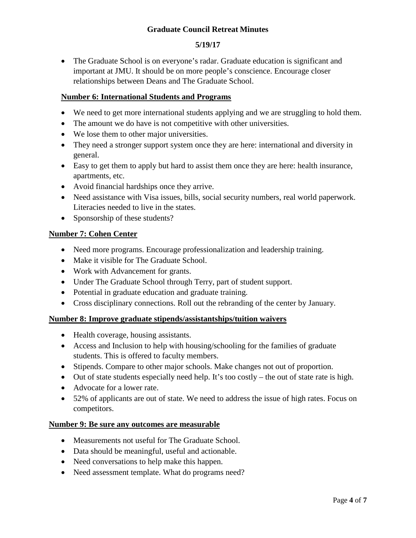# **5/19/17**

• The Graduate School is on everyone's radar. Graduate education is significant and important at JMU. It should be on more people's conscience. Encourage closer relationships between Deans and The Graduate School.

### **Number 6: International Students and Programs**

- We need to get more international students applying and we are struggling to hold them.
- The amount we do have is not competitive with other universities.
- We lose them to other major universities.
- They need a stronger support system once they are here: international and diversity in general.
- Easy to get them to apply but hard to assist them once they are here: health insurance, apartments, etc.
- Avoid financial hardships once they arrive.
- Need assistance with Visa issues, bills, social security numbers, real world paperwork. Literacies needed to live in the states.
- Sponsorship of these students?

#### **Number 7: Cohen Center**

- Need more programs. Encourage professionalization and leadership training.
- Make it visible for The Graduate School.
- Work with Advancement for grants.
- Under The Graduate School through Terry, part of student support.
- Potential in graduate education and graduate training.
- Cross disciplinary connections. Roll out the rebranding of the center by January.

#### **Number 8: Improve graduate stipends/assistantships/tuition waivers**

- Health coverage, housing assistants.
- Access and Inclusion to help with housing/schooling for the families of graduate students. This is offered to faculty members.
- Stipends. Compare to other major schools. Make changes not out of proportion.
- Out of state students especially need help. It's too costly the out of state rate is high.
- Advocate for a lower rate.
- 52% of applicants are out of state. We need to address the issue of high rates. Focus on competitors.

#### **Number 9: Be sure any outcomes are measurable**

- Measurements not useful for The Graduate School.
- Data should be meaningful, useful and actionable.
- Need conversations to help make this happen.
- Need assessment template. What do programs need?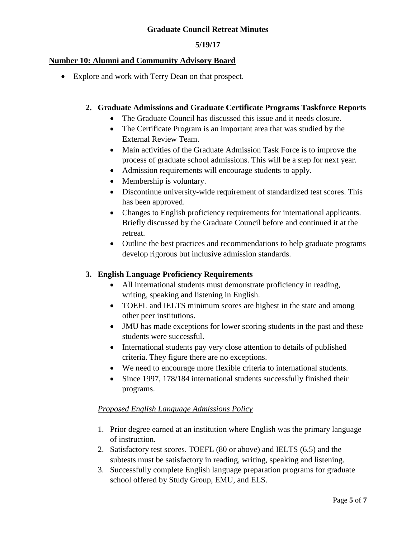### **5/19/17**

#### **Number 10: Alumni and Community Advisory Board**

• Explore and work with Terry Dean on that prospect.

### **2. Graduate Admissions and Graduate Certificate Programs Taskforce Reports**

- The Graduate Council has discussed this issue and it needs closure.
- The Certificate Program is an important area that was studied by the External Review Team.
- Main activities of the Graduate Admission Task Force is to improve the process of graduate school admissions. This will be a step for next year.
- Admission requirements will encourage students to apply.
- Membership is voluntary.
- Discontinue university-wide requirement of standardized test scores. This has been approved.
- Changes to English proficiency requirements for international applicants. Briefly discussed by the Graduate Council before and continued it at the retreat.
- Outline the best practices and recommendations to help graduate programs develop rigorous but inclusive admission standards.

# **3. English Language Proficiency Requirements**

- All international students must demonstrate proficiency in reading, writing, speaking and listening in English.
- TOEFL and IELTS minimum scores are highest in the state and among other peer institutions.
- JMU has made exceptions for lower scoring students in the past and these students were successful.
- International students pay very close attention to details of published criteria. They figure there are no exceptions.
- We need to encourage more flexible criteria to international students.
- Since 1997, 178/184 international students successfully finished their programs.

# *Proposed English Language Admissions Policy*

- 1. Prior degree earned at an institution where English was the primary language of instruction.
- 2. Satisfactory test scores. TOEFL (80 or above) and IELTS (6.5) and the subtests must be satisfactory in reading, writing, speaking and listening.
- 3. Successfully complete English language preparation programs for graduate school offered by Study Group, EMU, and ELS.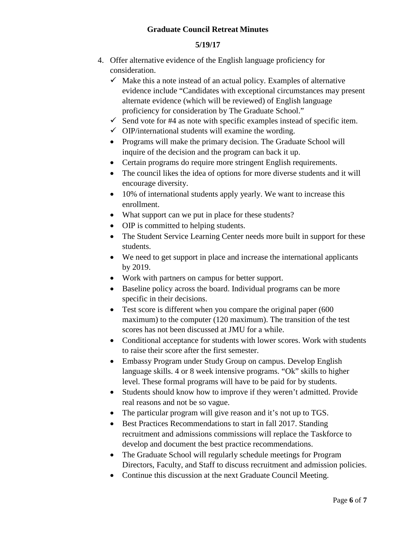# **5/19/17**

- 4. Offer alternative evidence of the English language proficiency for consideration.
	- $\checkmark$  Make this a note instead of an actual policy. Examples of alternative evidence include "Candidates with exceptional circumstances may present alternate evidence (which will be reviewed) of English language proficiency for consideration by The Graduate School."
	- $\checkmark$  Send vote for #4 as note with specific examples instead of specific item.
	- $\checkmark$  OIP/international students will examine the wording.
	- Programs will make the primary decision. The Graduate School will inquire of the decision and the program can back it up.
	- Certain programs do require more stringent English requirements.
	- The council likes the idea of options for more diverse students and it will encourage diversity.
	- 10% of international students apply yearly. We want to increase this enrollment.
	- What support can we put in place for these students?
	- OIP is committed to helping students.
	- The Student Service Learning Center needs more built in support for these students.
	- We need to get support in place and increase the international applicants by 2019.
	- Work with partners on campus for better support.
	- Baseline policy across the board. Individual programs can be more specific in their decisions.
	- Test score is different when you compare the original paper (600) maximum) to the computer (120 maximum). The transition of the test scores has not been discussed at JMU for a while.
	- Conditional acceptance for students with lower scores. Work with students to raise their score after the first semester.
	- Embassy Program under Study Group on campus. Develop English language skills. 4 or 8 week intensive programs. "Ok" skills to higher level. These formal programs will have to be paid for by students.
	- Students should know how to improve if they weren't admitted. Provide real reasons and not be so vague.
	- The particular program will give reason and it's not up to TGS.
	- Best Practices Recommendations to start in fall 2017. Standing recruitment and admissions commissions will replace the Taskforce to develop and document the best practice recommendations.
	- The Graduate School will regularly schedule meetings for Program Directors, Faculty, and Staff to discuss recruitment and admission policies.
	- Continue this discussion at the next Graduate Council Meeting.